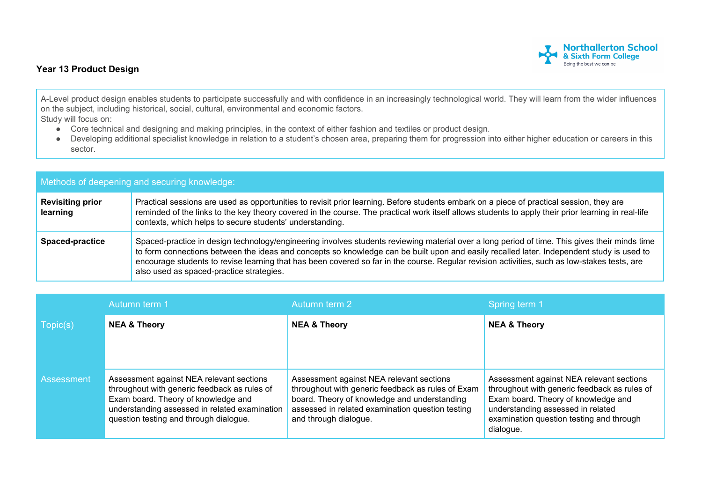## **Northallerton School**<br>& Sixth Form College Being the best we can be

## **Year 13 Product Design**

A-Level product design enables students to participate successfully and with confidence in an increasingly technological world. They will learn from the wider influences on the subject, including historical, social, cultural, environmental and economic factors. Study will focus on:

- Core technical and designing and making principles, in the context of either fashion and textiles or product design.
- Developing additional specialist knowledge in relation to a student's chosen area, preparing them for progression into either higher education or careers in this sector.

| Methods of deepening and securing knowledge: |                                                                                                                                                                                                                                                                                                                                                                                                                                                                                        |  |  |
|----------------------------------------------|----------------------------------------------------------------------------------------------------------------------------------------------------------------------------------------------------------------------------------------------------------------------------------------------------------------------------------------------------------------------------------------------------------------------------------------------------------------------------------------|--|--|
| <b>Revisiting prior</b><br>learning          | Practical sessions are used as opportunities to revisit prior learning. Before students embark on a piece of practical session, they are<br>reminded of the links to the key theory covered in the course. The practical work itself allows students to apply their prior learning in real-life<br>contexts, which helps to secure students' understanding.                                                                                                                            |  |  |
| <b>Spaced-practice</b>                       | Spaced-practice in design technology/engineering involves students reviewing material over a long period of time. This gives their minds time<br>to form connections between the ideas and concepts so knowledge can be built upon and easily recalled later. Independent study is used to<br>encourage students to revise learning that has been covered so far in the course. Regular revision activities, such as low-stakes tests, are<br>also used as spaced-practice strategies. |  |  |

|                   | Autumn term 1                                                                                                                                                                                                              | Autumn term 2                                                                                                                                                                                                              | Spring term 1                                                                                                                                                                                                                 |
|-------------------|----------------------------------------------------------------------------------------------------------------------------------------------------------------------------------------------------------------------------|----------------------------------------------------------------------------------------------------------------------------------------------------------------------------------------------------------------------------|-------------------------------------------------------------------------------------------------------------------------------------------------------------------------------------------------------------------------------|
| Topic(s)          | <b>NEA &amp; Theory</b>                                                                                                                                                                                                    | <b>NEA &amp; Theory</b>                                                                                                                                                                                                    | <b>NEA &amp; Theory</b>                                                                                                                                                                                                       |
|                   |                                                                                                                                                                                                                            |                                                                                                                                                                                                                            |                                                                                                                                                                                                                               |
| <b>Assessment</b> | Assessment against NEA relevant sections<br>throughout with generic feedback as rules of<br>Exam board. Theory of knowledge and<br>understanding assessed in related examination<br>question testing and through dialogue. | Assessment against NEA relevant sections<br>throughout with generic feedback as rules of Exam<br>board. Theory of knowledge and understanding<br>assessed in related examination question testing<br>and through dialogue. | Assessment against NEA relevant sections<br>throughout with generic feedback as rules of<br>Exam board. Theory of knowledge and<br>understanding assessed in related<br>examination question testing and through<br>dialogue. |